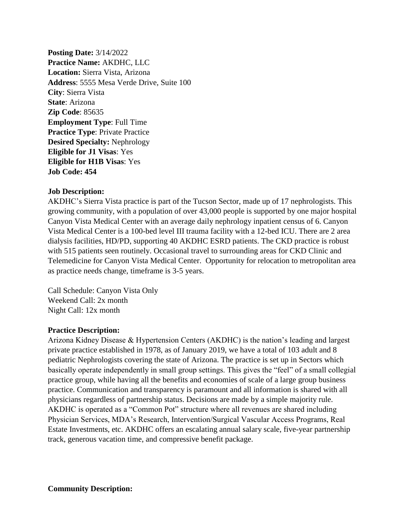**Posting Date:** 3/14/2022 **Practice Name:** AKDHC, LLC **Location:** Sierra Vista, Arizona **Address**: 5555 Mesa Verde Drive, Suite 100 **City**: Sierra Vista **State**: Arizona **Zip Code**: 85635 **Employment Type**: Full Time **Practice Type**: Private Practice **Desired Specialty:** Nephrology **Eligible for J1 Visas**: Yes **Eligible for H1B Visas**: Yes **Job Code: 454**

## **Job Description:**

AKDHC's Sierra Vista practice is part of the Tucson Sector, made up of 17 nephrologists. This growing community, with a population of over 43,000 people is supported by one major hospital Canyon Vista Medical Center with an average daily nephrology inpatient census of 6. Canyon Vista Medical Center is a 100-bed level III trauma facility with a 12-bed ICU. There are 2 area dialysis facilities, HD/PD, supporting 40 AKDHC ESRD patients. The CKD practice is robust with 515 patients seen routinely. Occasional travel to surrounding areas for CKD Clinic and Telemedicine for Canyon Vista Medical Center. Opportunity for relocation to metropolitan area as practice needs change, timeframe is 3-5 years.

Call Schedule: Canyon Vista Only Weekend Call: 2x month Night Call: 12x month

## **Practice Description:**

Arizona Kidney Disease & Hypertension Centers (AKDHC) is the nation's leading and largest private practice established in 1978, as of January 2019, we have a total of 103 adult and 8 pediatric Nephrologists covering the state of Arizona. The practice is set up in Sectors which basically operate independently in small group settings. This gives the "feel" of a small collegial practice group, while having all the benefits and economies of scale of a large group business practice. Communication and transparency is paramount and all information is shared with all physicians regardless of partnership status. Decisions are made by a simple majority rule. AKDHC is operated as a "Common Pot" structure where all revenues are shared including Physician Services, MDA's Research, Intervention/Surgical Vascular Access Programs, Real Estate Investments, etc. AKDHC offers an escalating annual salary scale, five-year partnership track, generous vacation time, and compressive benefit package.